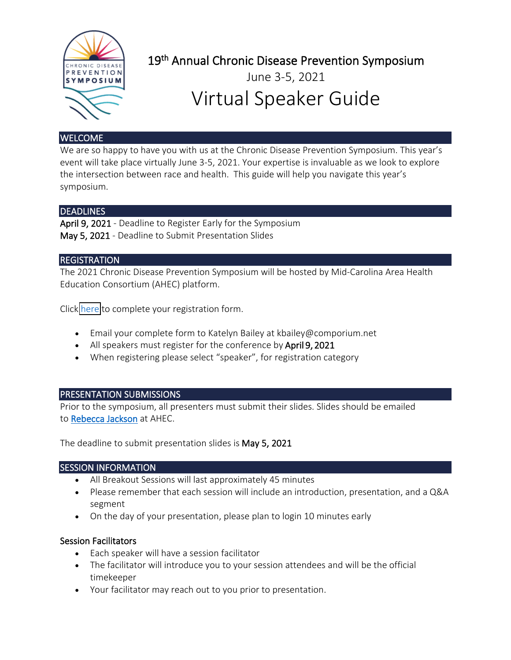

19<sup>th</sup> Annual Chronic Disease Prevention Symposium

# June 3-5, 2021 Virtual Speaker Guide

## **WELCOME**

We are so happy to have you with us at the Chronic Disease Prevention Symposium. This year's event will take place virtually June 3-5, 2021. Your expertise is invaluable as we look to explore the intersection between race and health. This guide will help you navigate this year's symposium.

# DEADLINES

April 9, 2021 - Deadline to Register Early for the Symposium May 5, 2021 - Deadline to Submit Presentation Slides

### **REGISTRATION**

The 2021 Chronic Disease Prevention Symposium will be hosted by Mid-Carolina Area Health Education Consortium (AHEC) platform.

Click here to complete your registration form.

- Email your complete form to Katelyn Bailey at kbailey@comporium.net
- All speakers must register for the conference by April 9, 2021
- When registering please select "speaker", for registration category

### PRESENTATION SUBMISSIONS

Prior to the symposium, all presenters must submit their slides. Slides should be emailed to [Rebecca Jackson](mailto:rljackson@comporium.net) at AHEC.

The deadline to submit presentation slides is May 5, 2021

### SESSION INFORMATION

- All Breakout Sessions will last approximately 45 minutes
- Please remember that each session will include an introduction, presentation, and a Q&A segment
- On the day of your presentation, please plan to login 10 minutes early

### Session Facilitators

- Each speaker will have a session facilitator
- The facilitator will introduce you to your session attendees and will be the official timekeeper
- Your facilitator may reach out to you prior to presentation.